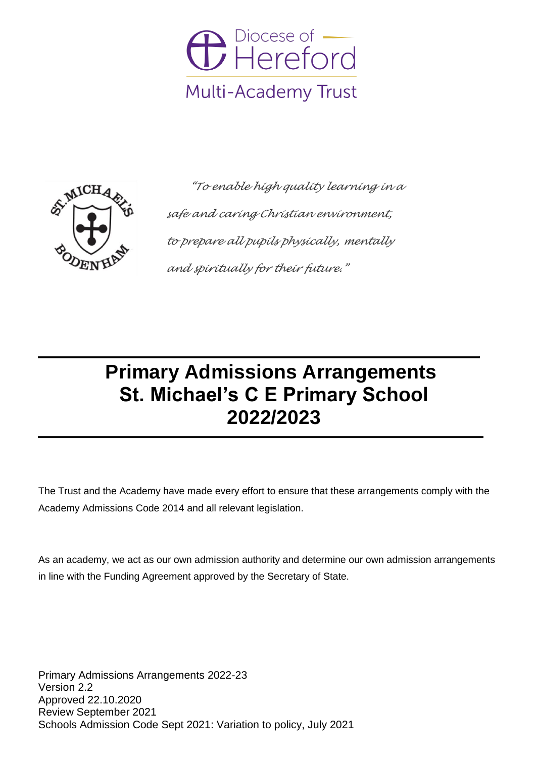



 *"To enable high quality learning in a safe and caring Christian environment, to prepare all pupils physically, mentally and spiritually for their future."*

# **Primary Admissions Arrangements St. Michael's C E Primary School 2022/2023**

The Trust and the Academy have made every effort to ensure that these arrangements comply with the Academy Admissions Code 2014 and all relevant legislation.

As an academy, we act as our own admission authority and determine our own admission arrangements in line with the Funding Agreement approved by the Secretary of State.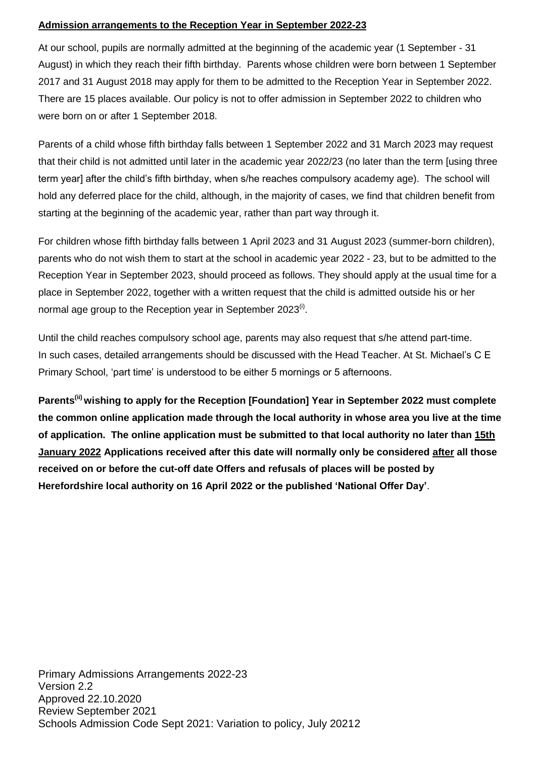## **Admission arrangements to the Reception Year in September 2022-23**

At our school, pupils are normally admitted at the beginning of the academic year (1 September - 31 August) in which they reach their fifth birthday. Parents whose children were born between 1 September 2017 and 31 August 2018 may apply for them to be admitted to the Reception Year in September 2022. There are 15 places available. Our policy is not to offer admission in September 2022 to children who were born on or after 1 September 2018.

Parents of a child whose fifth birthday falls between 1 September 2022 and 31 March 2023 may request that their child is not admitted until later in the academic year 2022/23 (no later than the term [using three term year] after the child's fifth birthday, when s/he reaches compulsory academy age). The school will hold any deferred place for the child, although, in the majority of cases, we find that children benefit from starting at the beginning of the academic year, rather than part way through it.

For children whose fifth birthday falls between 1 April 2023 and 31 August 2023 (summer-born children), parents who do not wish them to start at the school in academic year 2022 - 23, but to be admitted to the Reception Year in September 2023, should proceed as follows. They should apply at the usual time for a place in September 2022, together with a written request that the child is admitted outside his or her normal age group to the Reception year in September 2023 $^{\scriptscriptstyle{(i)}}$ .

Until the child reaches compulsory school age, parents may also request that s/he attend part-time. In such cases, detailed arrangements should be discussed with the Head Teacher. At St. Michael's C E Primary School, 'part time' is understood to be either 5 mornings or 5 afternoons.

**Parents(ii) wishing to apply for the Reception [Foundation] Year in September 2022 must complete the common online application made through the local authority in whose area you live at the time of application. The online application must be submitted to that local authority no later than 15th January 2022 Applications received after this date will normally only be considered after all those received on or before the cut-off date Offers and refusals of places will be posted by Herefordshire local authority on 16 April 2022 or the published 'National Offer Day'**.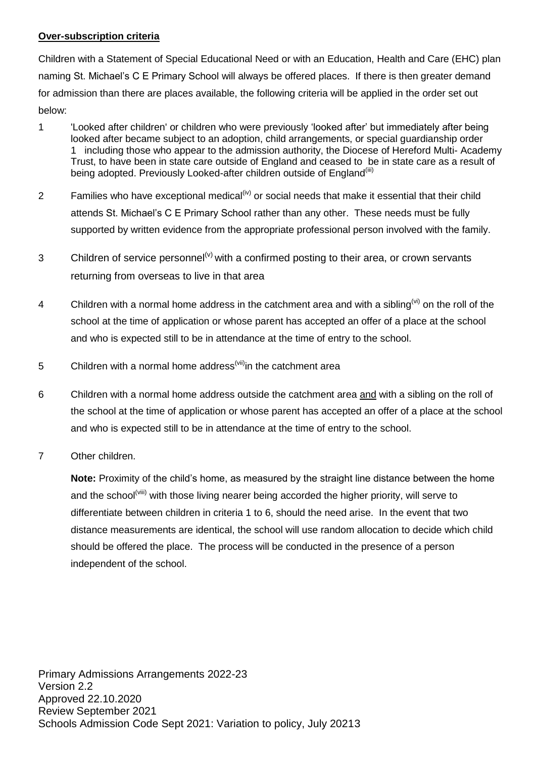#### **Over-subscription criteria**

Children with a Statement of Special Educational Need or with an Education, Health and Care (EHC) plan naming St. Michael's C E Primary School will always be offered places. If there is then greater demand for admission than there are places available, the following criteria will be applied in the order set out below:

- 1 'Looked after children' or children who were previously 'looked after' but immediately after being looked after became subject to an adoption, child arrangements, or special guardianship order 1 including those who appear to the admission authority, the Diocese of Hereford Multi- Academy Trust, to have been in state care outside of England and ceased to be in state care as a result of being adopted. Previously Looked-after children outside of England<sup>(iii)</sup>
- 2 Families who have exceptional medical<sup>(iv)</sup> or social needs that make it essential that their child attends St. Michael's C E Primary School rather than any other. These needs must be fully supported by written evidence from the appropriate professional person involved with the family.
- 3 Children of service personnel<sup>(v)</sup> with a confirmed posting to their area, or crown servants returning from overseas to live in that area
- 4 Children with a normal home address in the catchment area and with a sibling<sup>(vi)</sup> on the roll of the school at the time of application or whose parent has accepted an offer of a place at the school and who is expected still to be in attendance at the time of entry to the school.
- 5 Children with a normal home address<sup>(vii)</sup>in the catchment area
- 6 Children with a normal home address outside the catchment area and with a sibling on the roll of the school at the time of application or whose parent has accepted an offer of a place at the school and who is expected still to be in attendance at the time of entry to the school.
- 7 Other children.

**Note:** Proximity of the child's home, as measured by the straight line distance between the home and the school<sup>(viii)</sup> with those living nearer being accorded the higher priority, will serve to differentiate between children in criteria 1 to 6, should the need arise. In the event that two distance measurements are identical, the school will use random allocation to decide which child should be offered the place. The process will be conducted in the presence of a person independent of the school.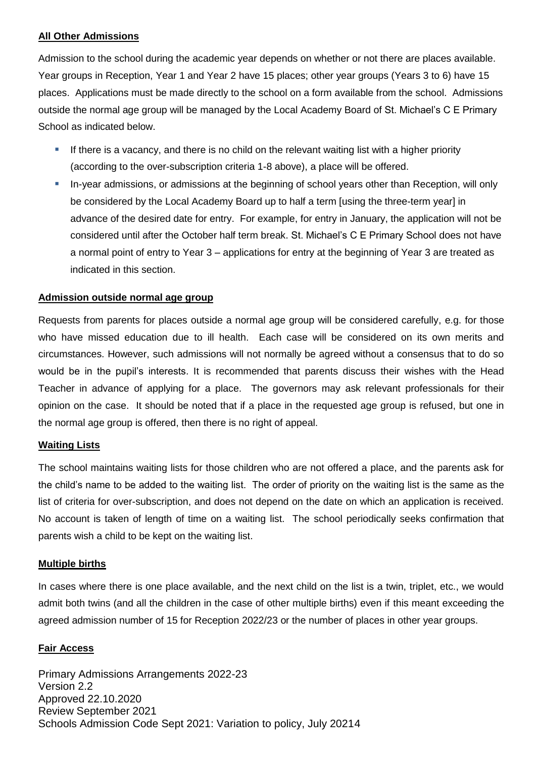#### **All Other Admissions**

Admission to the school during the academic year depends on whether or not there are places available. Year groups in Reception, Year 1 and Year 2 have 15 places; other year groups (Years 3 to 6) have 15 places. Applications must be made directly to the school on a form available from the school. Admissions outside the normal age group will be managed by the Local Academy Board of St. Michael's C E Primary School as indicated below.

- If there is a vacancy, and there is no child on the relevant waiting list with a higher priority (according to the over-subscription criteria 1-8 above), a place will be offered.
- In-year admissions, or admissions at the beginning of school years other than Reception, will only be considered by the Local Academy Board up to half a term [using the three-term year] in advance of the desired date for entry. For example, for entry in January, the application will not be considered until after the October half term break. St. Michael's C E Primary School does not have a normal point of entry to Year 3 – applications for entry at the beginning of Year 3 are treated as indicated in this section.

### **Admission outside normal age group**

Requests from parents for places outside a normal age group will be considered carefully, e.g. for those who have missed education due to ill health. Each case will be considered on its own merits and circumstances. However, such admissions will not normally be agreed without a consensus that to do so would be in the pupil's interests. It is recommended that parents discuss their wishes with the Head Teacher in advance of applying for a place. The governors may ask relevant professionals for their opinion on the case. It should be noted that if a place in the requested age group is refused, but one in the normal age group is offered, then there is no right of appeal.

#### **Waiting Lists**

The school maintains waiting lists for those children who are not offered a place, and the parents ask for the child's name to be added to the waiting list. The order of priority on the waiting list is the same as the list of criteria for over-subscription, and does not depend on the date on which an application is received. No account is taken of length of time on a waiting list. The school periodically seeks confirmation that parents wish a child to be kept on the waiting list.

#### **Multiple births**

In cases where there is one place available, and the next child on the list is a twin, triplet, etc., we would admit both twins (and all the children in the case of other multiple births) even if this meant exceeding the agreed admission number of 15 for Reception 2022/23 or the number of places in other year groups.

#### **Fair Access**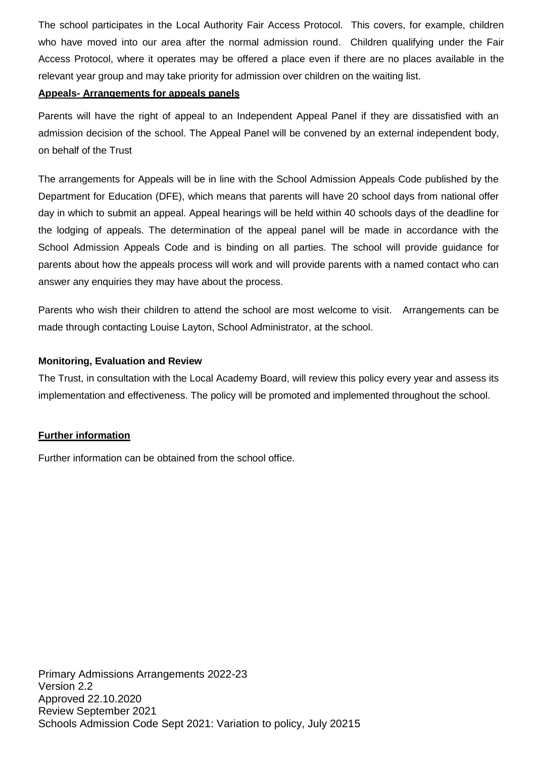The school participates in the Local Authority Fair Access Protocol. This covers, for example, children who have moved into our area after the normal admission round. Children qualifying under the Fair Access Protocol, where it operates may be offered a place even if there are no places available in the relevant year group and may take priority for admission over children on the waiting list.

#### **Appeals- Arrangements for appeals panels**

Parents will have the right of appeal to an Independent Appeal Panel if they are dissatisfied with an admission decision of the school. The Appeal Panel will be convened by an external independent body, on behalf of the Trust

The arrangements for Appeals will be in line with the School Admission Appeals Code published by the Department for Education (DFE), which means that parents will have 20 school days from national offer day in which to submit an appeal. Appeal hearings will be held within 40 schools days of the deadline for the lodging of appeals. The determination of the appeal panel will be made in accordance with the School Admission Appeals Code and is binding on all parties. The school will provide guidance for parents about how the appeals process will work and will provide parents with a named contact who can answer any enquiries they may have about the process.

Parents who wish their children to attend the school are most welcome to visit. Arrangements can be made through contacting Louise Layton, School Administrator, at the school.

#### **Monitoring, Evaluation and Review**

The Trust, in consultation with the Local Academy Board, will review this policy every year and assess its implementation and effectiveness. The policy will be promoted and implemented throughout the school.

#### **Further information**

Further information can be obtained from the school office.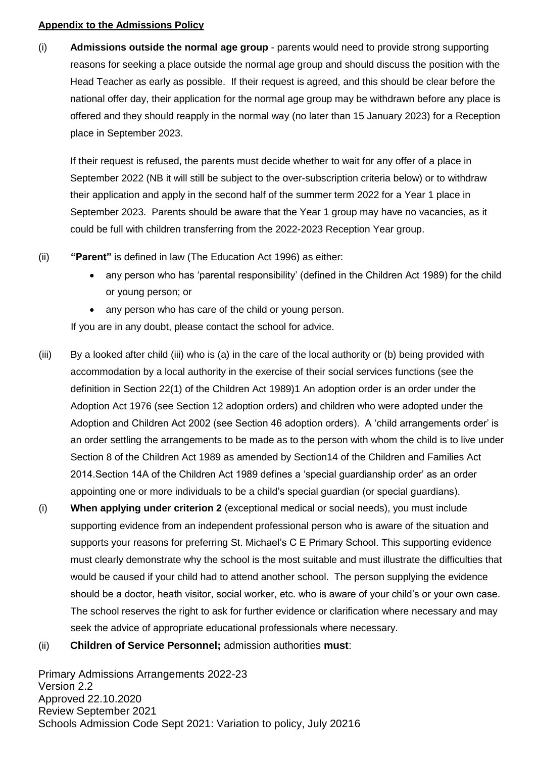#### **Appendix to the Admissions Policy**

(i) **Admissions outside the normal age group** - parents would need to provide strong supporting reasons for seeking a place outside the normal age group and should discuss the position with the Head Teacher as early as possible. If their request is agreed, and this should be clear before the national offer day, their application for the normal age group may be withdrawn before any place is offered and they should reapply in the normal way (no later than 15 January 2023) for a Reception place in September 2023.

If their request is refused, the parents must decide whether to wait for any offer of a place in September 2022 (NB it will still be subject to the over-subscription criteria below) or to withdraw their application and apply in the second half of the summer term 2022 for a Year 1 place in September 2023. Parents should be aware that the Year 1 group may have no vacancies, as it could be full with children transferring from the 2022-2023 Reception Year group.

- (ii) **"Parent"** is defined in law (The Education Act 1996) as either:
	- any person who has 'parental responsibility' (defined in the Children Act 1989) for the child or young person; or
	- any person who has care of the child or young person.

If you are in any doubt, please contact the school for advice.

- (iii) By a looked after child (iii) who is (a) in the care of the local authority or (b) being provided with accommodation by a local authority in the exercise of their social services functions (see the definition in Section 22(1) of the Children Act 1989)1 An adoption order is an order under the Adoption Act 1976 (see Section 12 adoption orders) and children who were adopted under the Adoption and Children Act 2002 (see Section 46 adoption orders). A 'child arrangements order' is an order settling the arrangements to be made as to the person with whom the child is to live under Section 8 of the Children Act 1989 as amended by Section14 of the Children and Families Act 2014.Section 14A of the Children Act 1989 defines a 'special guardianship order' as an order appointing one or more individuals to be a child's special guardian (or special guardians).
- (i) **When applying under criterion 2** (exceptional medical or social needs), you must include supporting evidence from an independent professional person who is aware of the situation and supports your reasons for preferring St. Michael's C E Primary School. This supporting evidence must clearly demonstrate why the school is the most suitable and must illustrate the difficulties that would be caused if your child had to attend another school. The person supplying the evidence should be a doctor, heath visitor, social worker, etc. who is aware of your child's or your own case. The school reserves the right to ask for further evidence or clarification where necessary and may seek the advice of appropriate educational professionals where necessary.
- (ii) **Children of Service Personnel;** admission authorities **must**: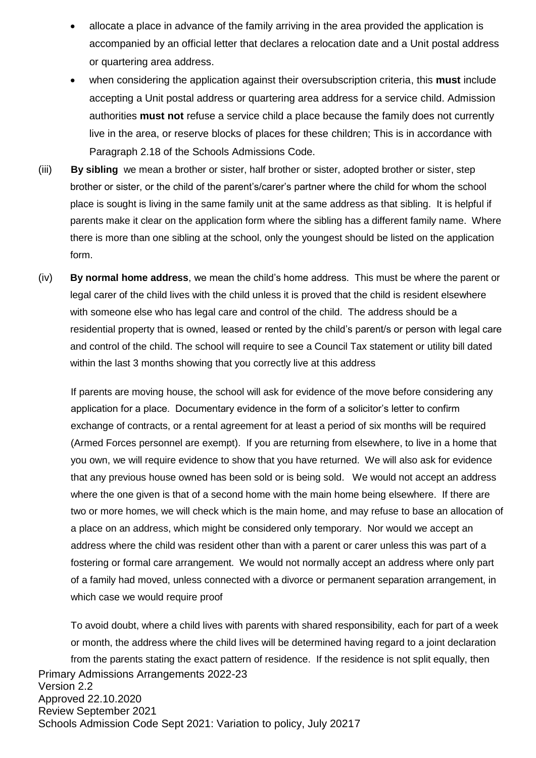- allocate a place in advance of the family arriving in the area provided the application is accompanied by an official letter that declares a relocation date and a Unit postal address or quartering area address.
- when considering the application against their oversubscription criteria, this **must** include accepting a Unit postal address or quartering area address for a service child. Admission authorities **must not** refuse a service child a place because the family does not currently live in the area, or reserve blocks of places for these children; This is in accordance with Paragraph 2.18 of the Schools Admissions Code.
- (iii) **By sibling** we mean a brother or sister, half brother or sister, adopted brother or sister, step brother or sister, or the child of the parent's/carer's partner where the child for whom the school place is sought is living in the same family unit at the same address as that sibling. It is helpful if parents make it clear on the application form where the sibling has a different family name. Where there is more than one sibling at the school, only the youngest should be listed on the application form.
- (iv) **By normal home address**, we mean the child's home address. This must be where the parent or legal carer of the child lives with the child unless it is proved that the child is resident elsewhere with someone else who has legal care and control of the child. The address should be a residential property that is owned, leased or rented by the child's parent/s or person with legal care and control of the child. The school will require to see a Council Tax statement or utility bill dated within the last 3 months showing that you correctly live at this address

If parents are moving house, the school will ask for evidence of the move before considering any application for a place. Documentary evidence in the form of a solicitor's letter to confirm exchange of contracts, or a rental agreement for at least a period of six months will be required (Armed Forces personnel are exempt). If you are returning from elsewhere, to live in a home that you own, we will require evidence to show that you have returned. We will also ask for evidence that any previous house owned has been sold or is being sold. We would not accept an address where the one given is that of a second home with the main home being elsewhere. If there are two or more homes, we will check which is the main home, and may refuse to base an allocation of a place on an address, which might be considered only temporary. Nor would we accept an address where the child was resident other than with a parent or carer unless this was part of a fostering or formal care arrangement. We would not normally accept an address where only part of a family had moved, unless connected with a divorce or permanent separation arrangement, in which case we would require proof

Primary Admissions Arrangements 2022-23 Version 2.2 Approved 22.10.2020 Review September 2021 Schools Admission Code Sept 2021: Variation to policy, July 20217 To avoid doubt, where a child lives with parents with shared responsibility, each for part of a week or month, the address where the child lives will be determined having regard to a joint declaration from the parents stating the exact pattern of residence. If the residence is not split equally, then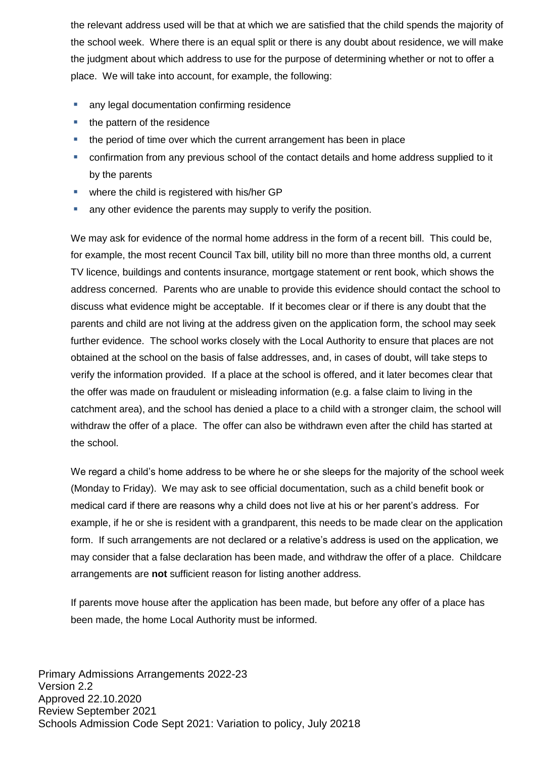the relevant address used will be that at which we are satisfied that the child spends the majority of the school week. Where there is an equal split or there is any doubt about residence, we will make the judgment about which address to use for the purpose of determining whether or not to offer a place. We will take into account, for example, the following:

- **any legal documentation confirming residence**
- the pattern of the residence
- the period of time over which the current arrangement has been in place
- confirmation from any previous school of the contact details and home address supplied to it by the parents
- where the child is registered with his/her GP
- **a** any other evidence the parents may supply to verify the position.

We may ask for evidence of the normal home address in the form of a recent bill. This could be, for example, the most recent Council Tax bill, utility bill no more than three months old, a current TV licence, buildings and contents insurance, mortgage statement or rent book, which shows the address concerned. Parents who are unable to provide this evidence should contact the school to discuss what evidence might be acceptable. If it becomes clear or if there is any doubt that the parents and child are not living at the address given on the application form, the school may seek further evidence. The school works closely with the Local Authority to ensure that places are not obtained at the school on the basis of false addresses, and, in cases of doubt, will take steps to verify the information provided. If a place at the school is offered, and it later becomes clear that the offer was made on fraudulent or misleading information (e.g. a false claim to living in the catchment area), and the school has denied a place to a child with a stronger claim, the school will withdraw the offer of a place. The offer can also be withdrawn even after the child has started at the school.

We regard a child's home address to be where he or she sleeps for the majority of the school week (Monday to Friday). We may ask to see official documentation, such as a child benefit book or medical card if there are reasons why a child does not live at his or her parent's address. For example, if he or she is resident with a grandparent, this needs to be made clear on the application form. If such arrangements are not declared or a relative's address is used on the application, we may consider that a false declaration has been made, and withdraw the offer of a place. Childcare arrangements are **not** sufficient reason for listing another address.

If parents move house after the application has been made, but before any offer of a place has been made, the home Local Authority must be informed.